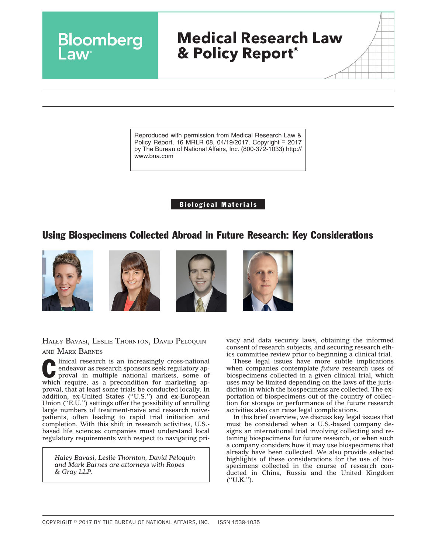Reproduced with permission from Medical Research Law & Policy Report, 16 MRLR 08, 04/19/2017. Copyright © 2017 by The Bureau of National Affairs, Inc. (800-372-1033) http:// www.bna.com

# Biological Materials

# Using Biospecimens Collected Abroad in Future Research: Key Considerations



Bloomberg







HALEY BAVASI, LESLIE THORNTON, DAVID PELOQUIN

AND MARK BARNES

Clinical research is an increasingly cross-national<br>
endeavor as research sponsors seek regulatory ap-<br>
proval in multiple national markets, some of endeavor as research sponsors seek regulatory apwhich require, as a precondition for marketing approval, that at least some trials be conducted locally. In addition, ex-United States (''U.S.'') and ex-European Union (''E.U.'') settings offer the possibility of enrolling large numbers of treatment-naive and research naivepatients, often leading to rapid trial initiation and completion. With this shift in research activities, U.S. based life sciences companies must understand local regulatory requirements with respect to navigating pri-

*Haley Bavasi, Leslie Thornton, David Peloquin and Mark Barnes are attorneys with Ropes & Gray LLP.*

vacy and data security laws, obtaining the informed consent of research subjects, and securing research ethics committee review prior to beginning a clinical trial.

These legal issues have more subtle implications when companies contemplate *future* research uses of biospecimens collected in a given clinical trial, which uses may be limited depending on the laws of the jurisdiction in which the biospecimens are collected. The exportation of biospecimens out of the country of collection for storage or performance of the future research activities also can raise legal complications.

In this brief overview, we discuss key legal issues that must be considered when a U.S.-based company designs an international trial involving collecting and retaining biospecimens for future research, or when such a company considers how it may use biospecimens that already have been collected. We also provide selected highlights of these considerations for the use of biospecimens collected in the course of research conducted in China, Russia and the United Kingdom  $(''U.K.'')$ .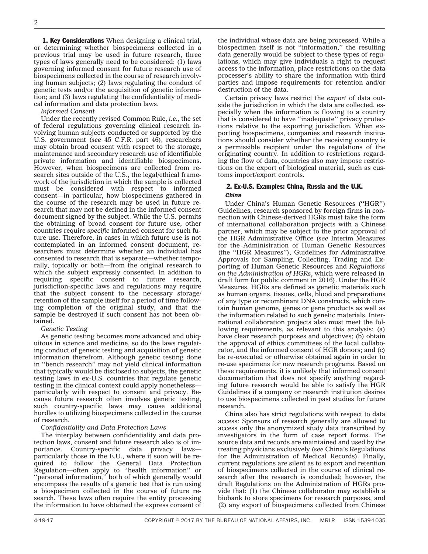**1. Key Considerations** When designing a clinical trial, or determining whether biospecimens collected in a previous trial may be used in future research, three types of laws generally need to be considered: (1) laws governing informed consent for future research use of biospecimens collected in the course of research involving human subjects; (2) laws regulating the conduct of genetic tests and/or the acquisition of genetic information; and (3) laws regulating the confidentiality of medical information and data protection laws.

*Informed Consent*

Under the [recently revised](https://www.ropesgray.com/newsroom/alerts/2017/01/HHS-Finalizes-Major-Changes-to-the-Common-Rule.aspx) Common Rule, *i.e.*, the set of federal regulations governing clinical research involving human subjects conducted or supported by the U.S. government (*see* [45 C.F.R. part 46\)](https://www.ecfr.gov/cgi-bin/text-idx?tpl=/ecfrbrowse/Title45/45cfr46_main_02.tpl), researchers may obtain broad consent with respect to the storage, maintenance and secondary research use of identifiable private information and identifiable biospecimens. However, when biospecimens are collected from research sites outside of the U.S., the legal/ethical framework of the jurisdiction in which the sample is collected must be considered with respect to informed consent—in particular, how biospecimens gathered in the course of the research may be used in future research that may not be defined in the informed consent document signed by the subject. While the U.S. permits the obtaining of broad consent for future use, other countries require *specific* informed consent for such future use. Therefore, in cases in which future use is not contemplated in an informed consent document, researchers must determine whether an individual has consented to research that is separate—whether temporally, topically or both—from the original research to which the subject expressly consented. In addition to requiring specific consent to future research, jurisdiction-specific laws and regulations may require that the subject consent to the necessary storage/ retention of the sample itself for a period of time following completion of the original study, and that the sample be destroyed if such consent has not been obtained.

#### *Genetic Testing*

As genetic testing becomes more advanced and ubiquitous in science and medicine, so do the laws regulating conduct of genetic testing and acquisition of genetic information therefrom. Although genetic testing done in ''bench research'' may not yield clinical information that typically would be disclosed to subjects, the genetic testing laws in ex-U.S. countries that regulate genetic testing in the clinical context could apply nonetheless particularly with respect to consent and privacy. Because future research often involves genetic testing, such country-specific laws may cause additional hurdles to utilizing biospecimens collected in the course of research.

#### *Confidentiality and Data Protection Laws*

The interplay between confidentiality and data protection laws, consent and future research also is of importance. Country-specific data privacy laws particularly those in the E.U., where it soon will be required to follow the [General Data Protection](http://www.eugdpr.org/) [Regulation—](http://www.eugdpr.org/)often apply to ''health information'' or "personal information," both of which generally would encompass the results of a genetic test that is run using a biospecimen collected in the course of future research. These laws often require the entity processing the information to have obtained the express consent of the individual whose data are being processed. While a biospecimen itself is not ''information,'' the resulting data generally would be subject to these types of regulations, which may give individuals a right to request access to the information, place restrictions on the data processer's ability to share the information with third parties and impose requirements for retention and/or destruction of the data.

Certain privacy laws restrict the *export* of data outside the jurisdiction in which the data are collected, especially when the information is flowing to a country that is considered to have ''inadequate'' privacy protections relative to the exporting jurisdiction. When exporting biospecimens, companies and research institutions should consider whether the receiving country is a permissible recipient under the regulations of the originating country. In addition to restrictions regarding the flow of data, countries also may impose restrictions on the export of biological material, such as customs import/export controls.

## 2. Ex-U.S. Examples: China, Russia and the U.K. *China*

Under China's Human Genetic Resources (''HGR'') Guidelines, research sponsored by foreign firms in connection with Chinese-derived HGRs must take the form of international collaboration projects with a Chinese partner, which may be subject to the prior approval of the HGR Administrative Office (*see* Interim Measures for the Administration of Human Genetic Resources (the ''HGR Measures''), [Guidelines for Administrative](http://www.most.gov.cn/tztg/201507/t20150703_120547.htm) [Approvals for Sampling, Collecting, Trading and Ex](http://www.most.gov.cn/tztg/201507/t20150703_120547.htm)[porting of Human Genetic Resources](http://www.most.gov.cn/tztg/201507/t20150703_120547.htm) and *Regulations on the Administration of HGRs*, which were released in draft form for public comment in 2016). Under the HGR Measures, HGRs are defined as genetic materials such as human organs, tissues, cells, blood and preparations of any type or recombinant DNA constructs, which contain human genome, genes or gene products as well as the information related to such genetic materials. International collaboration projects also must meet the following requirements, as relevant to this analysis: (a) have clear research purposes and objectives; (b) obtain the approval of ethics committees of the local collaborator, and the informed consent of HGR donors; and (c) be re-executed or otherwise obtained again in order to re-use specimens for new research programs. Based on these requirements, it is unlikely that informed consent documentation that does not specify anything regarding future research would be able to satisfy the HGR Guidelines if a company or research institution desires to use biospecimens collected in past studies for future research.

China also has strict regulations with respect to data access: Sponsors of research generally are allowed to access only the anonymized study data transcribed by investigators in the form of case report forms. The source data and records are maintained and used by the treating physicians exclusively (*see* [China's Regulations](http://www.nhfpc.gov.cn/yzygj/s3593/201312/a84f3666d1be49f7a959d7912a978db7.shtml) [for the Administration of Medical Records\)](http://www.nhfpc.gov.cn/yzygj/s3593/201312/a84f3666d1be49f7a959d7912a978db7.shtml). Finally, current regulations are silent as to export and retention of biospecimens collected in the course of clinical research after the research is concluded; however, the draft Regulations on the Administration of HGRs provide that: (1) the Chinese collaborator may establish a biobank to store specimens for research purposes, and (2) any export of biospecimens collected from Chinese